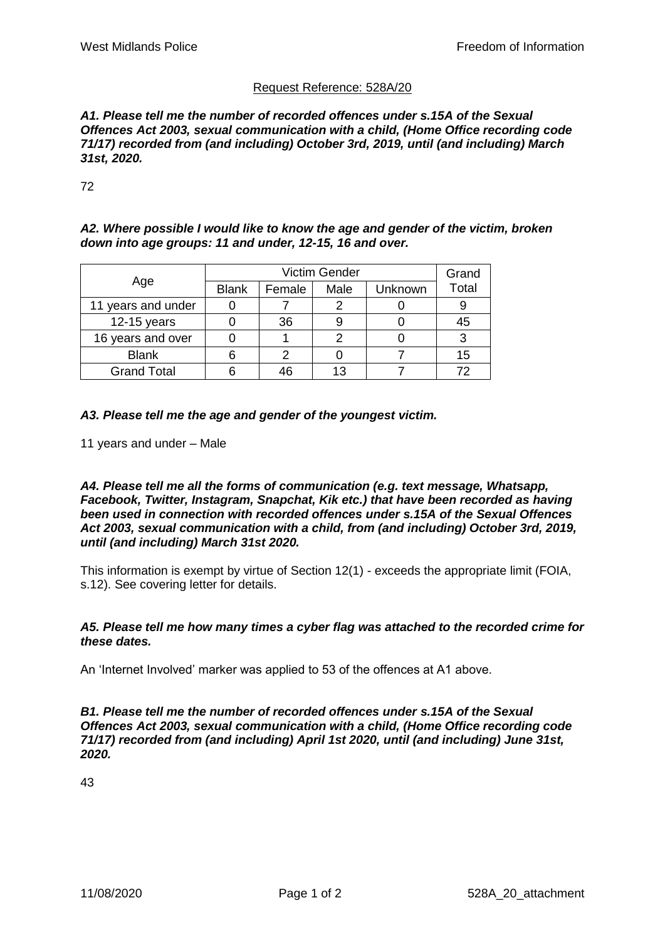# Request Reference: 528A/20

*A1. Please tell me the number of recorded offences under s.15A of the Sexual Offences Act 2003, sexual communication with a child, (Home Office recording code 71/17) recorded from (and including) October 3rd, 2019, until (and including) March 31st, 2020.*

72

*A2. Where possible I would like to know the age and gender of the victim, broken down into age groups: 11 and under, 12-15, 16 and over.*

| Age                |              | Grand  |      |         |       |
|--------------------|--------------|--------|------|---------|-------|
|                    | <b>Blank</b> | Female | Male | Unknown | Total |
| 11 years and under |              |        |      |         |       |
| $12-15$ years      |              | 36     |      |         | 45    |
| 16 years and over  |              |        |      |         |       |
| <b>Blank</b>       |              |        |      |         | 15    |
| <b>Grand Total</b> |              |        |      |         | 72    |

*A3. Please tell me the age and gender of the youngest victim.*

11 years and under – Male

*A4. Please tell me all the forms of communication (e.g. text message, Whatsapp, Facebook, Twitter, Instagram, Snapchat, Kik etc.) that have been recorded as having been used in connection with recorded offences under s.15A of the Sexual Offences Act 2003, sexual communication with a child, from (and including) October 3rd, 2019, until (and including) March 31st 2020.*

This information is exempt by virtue of Section 12(1) - exceeds the appropriate limit (FOIA, s.12). See covering letter for details.

#### *A5. Please tell me how many times a cyber flag was attached to the recorded crime for these dates.*

An 'Internet Involved' marker was applied to 53 of the offences at A1 above.

*B1. Please tell me the number of recorded offences under s.15A of the Sexual Offences Act 2003, sexual communication with a child, (Home Office recording code 71/17) recorded from (and including) April 1st 2020, until (and including) June 31st, 2020.*

43